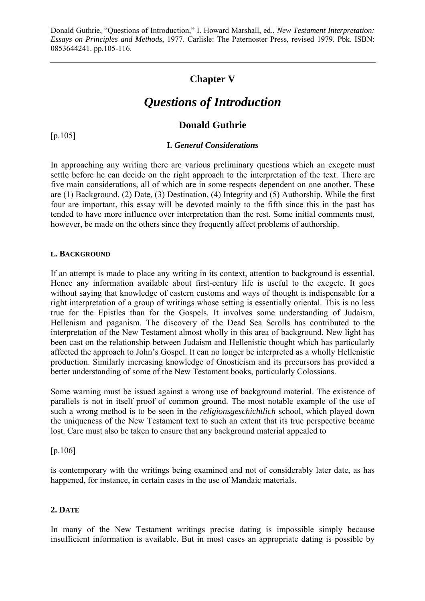# **Chapter V**

# *Questions of Introduction*

## **Donald Guthrie**

[p.105]

#### **I.** *General Considerations*

In approaching any writing there are various preliminary questions which an exegete must settle before he can decide on the right approach to the interpretation of the text. There are five main considerations, all of which are in some respects dependent on one another. These are (1) Background, (2) Date, (3) Destination, (4) Integrity and (5) Authorship. While the first four are important, this essay will be devoted mainly to the fifth since this in the past has tended to have more influence over interpretation than the rest. Some initial comments must, however, be made on the others since they frequently affect problems of authorship.

#### **L. BACKGROUND**

If an attempt is made to place any writing in its context, attention to background is essential. Hence any information available about first-century life is useful to the exegete. It goes without saying that knowledge of eastern customs and ways of thought is indispensable for a right interpretation of a group of writings whose setting is essentially oriental. This is no less true for the Epistles than for the Gospels. It involves some understanding of Judaism, Hellenism and paganism. The discovery of the Dead Sea Scrolls has contributed to the interpretation of the New Testament almost wholly in this area of background. New light has been cast on the relationship between Judaism and Hellenistic thought which has particularly affected the approach to John's Gospel. It can no longer be interpreted as a wholly Hellenistic production. Similarly increasing knowledge of Gnosticism and its precursors has provided a better understanding of some of the New Testament books, particularly Colossians.

Some warning must be issued against a wrong use of background material. The existence of parallels is not in itself proof of common ground. The most notable example of the use of such a wrong method is to be seen in the *religionsgeschichtlich* school, which played down the uniqueness of the New Testament text to such an extent that its true perspective became lost. Care must also be taken to ensure that any background material appealed to

#### [p.106]

is contemporary with the writings being examined and not of considerably later date, as has happened, for instance, in certain cases in the use of Mandaic materials.

## **2. DATE**

In many of the New Testament writings precise dating is impossible simply because insufficient information is available. But in most cases an appropriate dating is possible by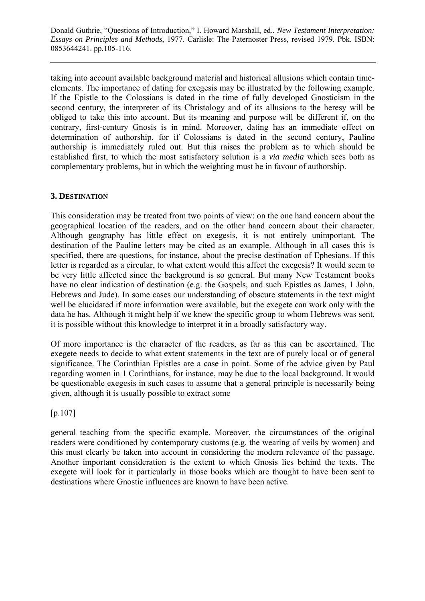taking into account available background material and historical allusions which contain timeelements. The importance of dating for exegesis may be illustrated by the following example. If the Epistle to the Colossians is dated in the time of fully developed Gnosticism in the second century, the interpreter of its Christology and of its allusions to the heresy will be obliged to take this into account. But its meaning and purpose will be different if, on the contrary, first-century Gnosis is in mind. Moreover, dating has an immediate effect on determination of authorship, for if Colossians is dated in the second century, Pauline authorship is immediately ruled out. But this raises the problem as to which should be established first, to which the most satisfactory solution is a *via media* which sees both as complementary problems, but in which the weighting must be in favour of authorship.

#### **3. DESTINATION**

This consideration may be treated from two points of view: on the one hand concern about the geographical location of the readers, and on the other hand concern about their character. Although geography has little effect on exegesis, it is not entirely unimportant. The destination of the Pauline letters may be cited as an example. Although in all cases this is specified, there are questions, for instance, about the precise destination of Ephesians. If this letter is regarded as a circular, to what extent would this affect the exegesis? It would seem to be very little affected since the background is so general. But many New Testament books have no clear indication of destination (e.g. the Gospels, and such Epistles as James, 1 John, Hebrews and Jude). In some cases our understanding of obscure statements in the text might well be elucidated if more information were available, but the exegete can work only with the data he has. Although it might help if we knew the specific group to whom Hebrews was sent, it is possible without this knowledge to interpret it in a broadly satisfactory way.

Of more importance is the character of the readers, as far as this can be ascertained. The exegete needs to decide to what extent statements in the text are of purely local or of general significance. The Corinthian Epistles are a case in point. Some of the advice given by Paul regarding women in 1 Corinthians, for instance, may be due to the local background. It would be questionable exegesis in such cases to assume that a general principle is necessarily being given, although it is usually possible to extract some

[p.107]

general teaching from the specific example. Moreover, the circumstances of the original readers were conditioned by contemporary customs (e.g. the wearing of veils by women) and this must clearly be taken into account in considering the modern relevance of the passage. Another important consideration is the extent to which Gnosis lies behind the texts. The exegete will look for it particularly in those books which are thought to have been sent to destinations where Gnostic influences are known to have been active.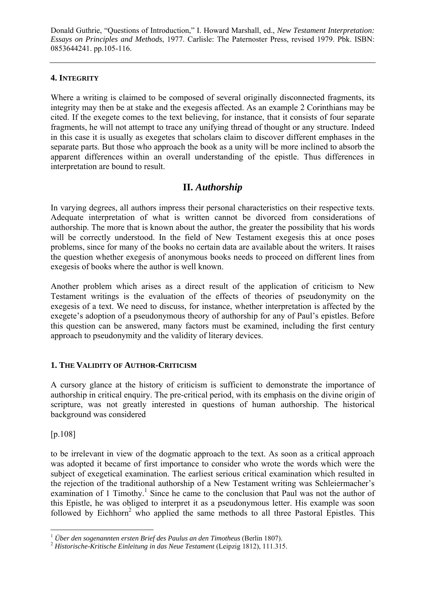## **4. INTEGRITY**

Where a writing is claimed to be composed of several originally disconnected fragments, its integrity may then be at stake and the exegesis affected. As an example 2 Corinthians may be cited. If the exegete comes to the text believing, for instance, that it consists of four separate fragments, he will not attempt to trace any unifying thread of thought or any structure. Indeed in this case it is usually as exegetes that scholars claim to discover different emphases in the separate parts. But those who approach the book as a unity will be more inclined to absorb the apparent differences within an overall understanding of the epistle. Thus differences in interpretation are bound to result.

# **II.** *Authorship*

In varying degrees, all authors impress their personal characteristics on their respective texts. Adequate interpretation of what is written cannot be divorced from considerations of authorship. The more that is known about the author, the greater the possibility that his words will be correctly understood. In the field of New Testament exegesis this at once poses problems, since for many of the books no certain data are available about the writers. It raises the question whether exegesis of anonymous books needs to proceed on different lines from exegesis of books where the author is well known.

Another problem which arises as a direct result of the application of criticism to New Testament writings is the evaluation of the effects of theories of pseudonymity on the exegesis of a text. We need to discuss, for instance, whether interpretation is affected by the exegete's adoption of a pseudonymous theory of authorship for any of Paul's epistles. Before this question can be answered, many factors must be examined, including the first century approach to pseudonymity and the validity of literary devices.

## **1. THE VALIDITY OF AUTHOR-CRITICISM**

A cursory glance at the history of criticism is sufficient to demonstrate the importance of authorship in critical enquiry. The pre-critical period, with its emphasis on the divine origin of scripture, was not greatly interested in questions of human authorship. The historical background was considered

[p.108]

to be irrelevant in view of the dogmatic approach to the text. As soon as a critical approach was adopted it became of first importance to consider who wrote the words which were the subject of exegetical examination. The earliest serious critical examination which resulted in the rejection of the traditional authorship of a New Testament writing was Schleiermacher's examination of 1 Timothy.<sup>1</sup> Since he came to the conclusion that Paul was not the author of this Epistle, he was obliged to interpret it as a pseudonymous letter. His example was soon followed by Eichhorn<sup>2</sup> who applied the same methods to all three Pastoral Epistles. This

 $\overline{a}$ 

<sup>1</sup> *Über den sogenannten ersten Brief des Paulus an den Timotheus* (Berlin 1807). 2 *Historische-Kritische Einleitung in das Neue Testament* (Leipzig 1812), 111.315.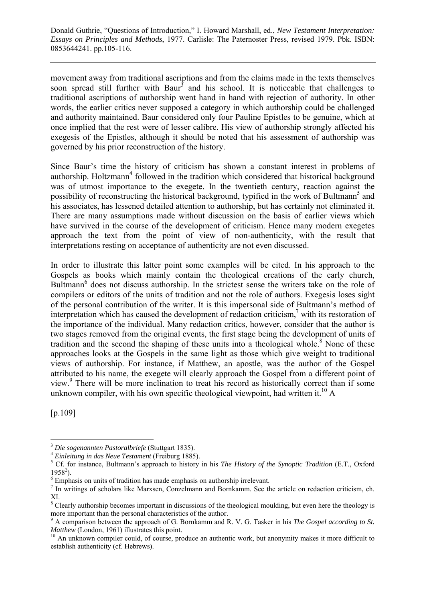movement away from traditional ascriptions and from the claims made in the texts themselves soon spread still further with Baur<sup>3</sup> and his school. It is noticeable that challenges to traditional ascriptions of authorship went hand in hand with rejection of authority. In other words, the earlier critics never supposed a category in which authorship could be challenged and authority maintained. Baur considered only four Pauline Epistles to be genuine, which at once implied that the rest were of lesser calibre. His view of authorship strongly affected his exegesis of the Epistles, although it should be noted that his assessment of authorship was governed by his prior reconstruction of the history.

Since Baur's time the history of criticism has shown a constant interest in problems of authorship. Holtzmann<sup>4</sup> followed in the tradition which considered that historical background was of utmost importance to the exegete. In the twentieth century, reaction against the possibility of reconstructing the historical background, typified in the work of Bultmann<sup>5</sup> and his associates, has lessened detailed attention to authorship, but has certainly not eliminated it. There are many assumptions made without discussion on the basis of earlier views which have survived in the course of the development of criticism. Hence many modern exegetes approach the text from the point of view of non-authenticity, with the result that interpretations resting on acceptance of authenticity are not even discussed.

In order to illustrate this latter point some examples will be cited. In his approach to the Gospels as books which mainly contain the theological creations of the early church, Bultmann<sup>6</sup> does not discuss authorship. In the strictest sense the writers take on the role of compilers or editors of the units of tradition and not the role of authors. Exegesis loses sight of the personal contribution of the writer. It is this impersonal side of Bultmann's method of interpretation which has caused the development of redaction criticism, $\alpha$  with its restoration of the importance of the individual. Many redaction critics, however, consider that the author is two stages removed from the original events, the first stage being the development of units of tradition and the second the shaping of these units into a theological whole.<sup>8</sup> None of these approaches looks at the Gospels in the same light as those which give weight to traditional views of authorship. For instance, if Matthew, an apostle, was the author of the Gospel attributed to his name, the exegete will clearly approach the Gospel from a different point of view.<sup>9</sup> There will be more inclination to treat his record as historically correct than if some unknown compiler, with his own specific theological viewpoint, had written it.<sup>10</sup> A

[p.109]

 $\overline{a}$ 

<sup>3</sup> *Die sogenannten Pastoralbriefe* (Stuttgart 1835). 4 *Einleitung in das Neue Testament* (Freiburg 1885). 5

<sup>&</sup>lt;sup>5</sup> Cf. for instance, Bultmann's approach to history in his *The History of the Synoptic Tradition* (E.T., Oxford  $1958^2$ ).

<sup>&</sup>lt;sup>6</sup> Emphasis on units of tradition has made emphasis on authorship irrelevant.

<sup>&</sup>lt;sup>7</sup> In writings of scholars like Marxsen, Conzelmann and Bornkamm. See the article on redaction criticism, ch. XI.

<sup>&</sup>lt;sup>8</sup> Clearly authorship becomes important in discussions of the theological moulding, but even here the theology is more important than the personal characteristics of the author.

A comparison between the approach of G. Bornkamm and R. V. G. Tasker in his *The Gospel according to St. Matthew* (London, 1961) illustrates this point.<br><sup>10</sup> An unknown compiler could, of course, produce an authentic work, but anonymity makes it more difficult to

establish authenticity (cf. Hebrews).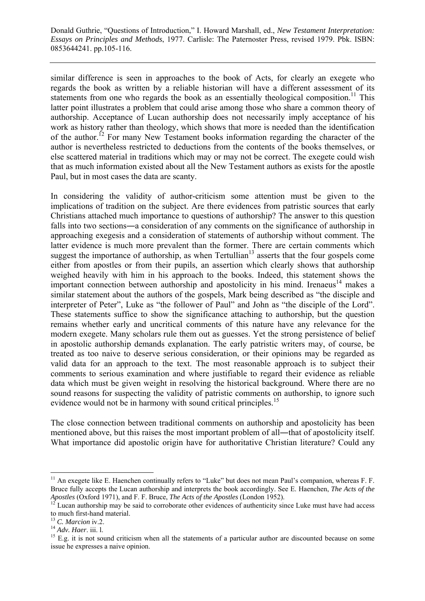similar difference is seen in approaches to the book of Acts, for clearly an exegete who regards the book as written by a reliable historian will have a different assessment of its statements from one who regards the book as an essentially theological composition.<sup>11</sup> This latter point illustrates a problem that could arise among those who share a common theory of authorship. Acceptance of Lucan authorship does not necessarily imply acceptance of his work as history rather than theology, which shows that more is needed than the identification of the author.<sup>12</sup> For many New Testament books information regarding the character of the author is nevertheless restricted to deductions from the contents of the books themselves, or else scattered material in traditions which may or may not be correct. The exegete could wish that as much information existed about all the New Testament authors as exists for the apostle Paul, but in most cases the data are scanty.

In considering the validity of author-criticism some attention must be given to the implications of tradition on the subject. Are there evidences from patristic sources that early Christians attached much importance to questions of authorship? The answer to this question falls into two sections―a consideration of any comments on the significance of authorship in approaching exegesis and a consideration of statements of authorship without comment. The latter evidence is much more prevalent than the former. There are certain comments which suggest the importance of authorship, as when  $Tertullian<sup>13</sup>$  asserts that the four gospels come either from apostles or from their pupils, an assertion which clearly shows that authorship weighed heavily with him in his approach to the books. Indeed, this statement shows the important connection between authorship and apostolicity in his mind. Irenaeus<sup>14</sup> makes a similar statement about the authors of the gospels, Mark being described as "the disciple and interpreter of Peter", Luke as "the follower of Paul" and John as "the disciple of the Lord". These statements suffice to show the significance attaching to authorship, but the question remains whether early and uncritical comments of this nature have any relevance for the modern exegete. Many scholars rule them out as guesses. Yet the strong persistence of belief in apostolic authorship demands explanation. The early patristic writers may, of course, be treated as too naive to deserve serious consideration, or their opinions may be regarded as valid data for an approach to the text. The most reasonable approach is to subject their comments to serious examination and where justifiable to regard their evidence as reliable data which must be given weight in resolving the historical background. Where there are no sound reasons for suspecting the validity of patristic comments on authorship, to ignore such evidence would not be in harmony with sound critical principles.<sup>15</sup>

The close connection between traditional comments on authorship and apostolicity has been mentioned above, but this raises the most important problem of all—that of apostolicity itself. What importance did apostolic origin have for authoritative Christian literature? Could any

 $\overline{a}$ 

<sup>&</sup>lt;sup>11</sup> An exegete like E. Haenchen continually refers to "Luke" but does not mean Paul's companion, whereas F. F. Bruce fully accepts the Lucan authorship and interprets the book accordingly. See E. Haenchen, *The Acts of the Apostles* (Oxford 1971), and F. F. Bruce. *The Acts of the Apostles* (London 1952).

<sup>&</sup>lt;sup>12</sup> Lucan authorship may be said to corroborate other evidences of authenticity since Luke must have had access to much first-hand material.

<sup>&</sup>lt;sup>13</sup> *C. Marcion* iv.2.<br><sup>14</sup> *Adv. Haer.* iii. l.<br><sup>15</sup> E.g. it is not sound criticism when all the statements of a particular author are discounted because on some issue he expresses a naive opinion.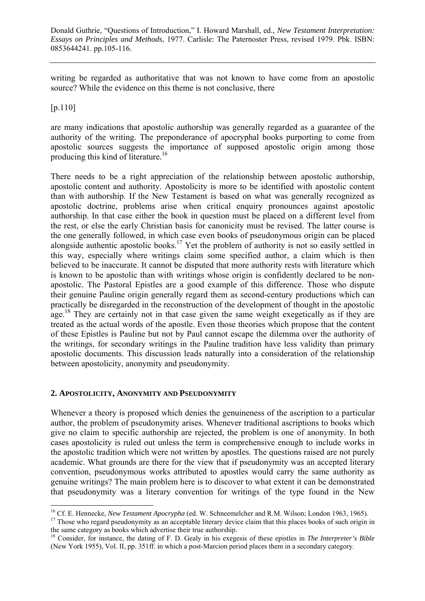writing be regarded as authoritative that was not known to have come from an apostolic source? While the evidence on this theme is not conclusive, there

[p.110]

are many indications that apostolic authorship was generally regarded as a guarantee of the authority of the writing. The preponderance of apocryphal books purporting to come from apostolic sources suggests the importance of supposed apostolic origin among those producing this kind of literature.16

There needs to be a right appreciation of the relationship between apostolic authorship, apostolic content and authority. Apostolicity is more to be identified with apostolic content than with authorship. If the New Testament is based on what was generally recognized as apostolic doctrine, problems arise when critical enquiry pronounces against apostolic authorship. In that case either the book in question must be placed on a different level from the rest, or else the early Christian basis for canonicity must be revised. The latter course is the one generally followed, in which case even books of pseudonymous origin can be placed alongside authentic apostolic books.<sup>17</sup> Yet the problem of authority is not so easily settled in this way, especially where writings claim some specified author, a claim which is then believed to be inaccurate. It cannot be disputed that more authority rests with literature which is known to be apostolic than with writings whose origin is confidently declared to be nonapostolic. The Pastoral Epistles are a good example of this difference. Those who dispute their genuine Pauline origin generally regard them as second-century productions which can practically be disregarded in the reconstruction of the development of thought in the apostolic age.<sup>18</sup> They are certainly not in that case given the same weight exegetically as if they are treated as the actual words of the apostle. Even those theories which propose that the content of these Epistles is Pauline but not by Paul cannot escape the dilemma over the authority of the writings, for secondary writings in the Pauline tradition have less validity than primary apostolic documents. This discussion leads naturally into a consideration of the relationship between apostolicity, anonymity and pseudonymity.

#### **2. APOSTOLICITY, ANONYMITY AND PSEUDONYMITY**

Whenever a theory is proposed which denies the genuineness of the ascription to a particular author, the problem of pseudonymity arises. Whenever traditional ascriptions to books which give no claim to specific authorship are rejected, the problem is one of anonymity. In both cases apostolicity is ruled out unless the term is comprehensive enough to include works in the apostolic tradition which were not written by apostles. The questions raised are not purely academic. What grounds are there for the view that if pseudonymity was an accepted literary convention, pseudonymous works attributed to apostles would carry the same authority as genuine writings? The main problem here is to discover to what extent it can be demonstrated that pseudonymity was a literary convention for writings of the type found in the New

<sup>&</sup>lt;sup>16</sup> Cf. E. Hennecke, New Testament Apocrypha (ed. W. Schneemelcher and R.M. Wilson; London 1963, 1965).

<sup>&</sup>lt;sup>17</sup> Those who regard pseudonymity as an acceptable literary device claim that this places books of such origin in the same category as books which advertise their true authorship.

<sup>18</sup> Consider, for instance, the dating of F. D. Gealy in his exegesis of these epistles in *The Interpreter's Bible* (New York 1955), Vol. II, pp. 351ff. in which a post-Marcion period places them in a secondary category.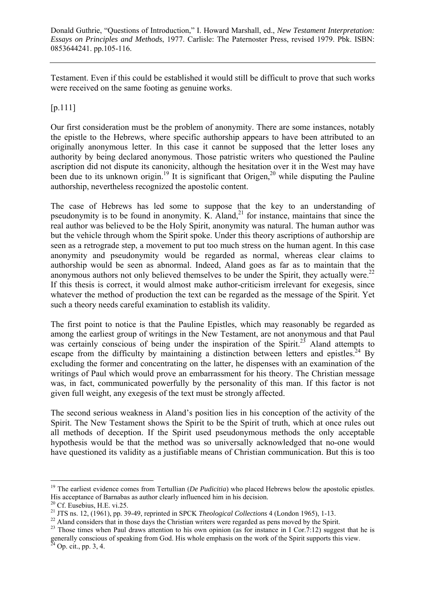Testament. Even if this could be established it would still be difficult to prove that such works were received on the same footing as genuine works.

## [p.111]

Our first consideration must be the problem of anonymity. There are some instances, notably the epistle to the Hebrews, where specific authorship appears to have been attributed to an originally anonymous letter. In this case it cannot be supposed that the letter loses any authority by being declared anonymous. Those patristic writers who questioned the Pauline ascription did not dispute its canonicity, although the hesitation over it in the West may have been due to its unknown origin.<sup>19</sup> It is significant that Origen,<sup>20</sup> while disputing the Pauline authorship, nevertheless recognized the apostolic content.

The case of Hebrews has led some to suppose that the key to an understanding of pseudonymity is to be found in anonymity. K. Aland, $^{21}$  for instance, maintains that since the real author was believed to be the Holy Spirit, anonymity was natural. The human author was but the vehicle through whom the Spirit spoke. Under this theory ascriptions of authorship are seen as a retrograde step, a movement to put too much stress on the human agent. In this case anonymity and pseudonymity would be regarded as normal, whereas clear claims to authorship would be seen as abnormal. Indeed, Aland goes as far as to maintain that the anonymous authors not only believed themselves to be under the Spirit, they actually were.<sup>22</sup> If this thesis is correct, it would almost make author-criticism irrelevant for exegesis, since whatever the method of production the text can be regarded as the message of the Spirit. Yet such a theory needs careful examination to establish its validity.

The first point to notice is that the Pauline Epistles, which may reasonably be regarded as among the earliest group of writings in the New Testament, are not anonymous and that Paul was certainly conscious of being under the inspiration of the Spirit.<sup>23</sup> Aland attempts to escape from the difficulty by maintaining a distinction between letters and epistles.<sup>24</sup> By excluding the former and concentrating on the latter, he dispenses with an examination of the writings of Paul which would prove an embarrassment for his theory. The Christian message was, in fact, communicated powerfully by the personality of this man. If this factor is not given full weight, any exegesis of the text must be strongly affected.

The second serious weakness in Aland's position lies in his conception of the activity of the Spirit. The New Testament shows the Spirit to be the Spirit of truth, which at once rules out all methods of deception. If the Spirit used pseudonymous methods the only acceptable hypothesis would be that the method was so universally acknowledged that no-one would have questioned its validity as a justifiable means of Christian communication. But this is too

 $\overline{a}$ 

<sup>&</sup>lt;sup>19</sup> The earliest evidence comes from Tertullian (*De Pudicitia*) who placed Hebrews below the apostolic epistles. His acceptance of Barnabas as author clearly influenced him in his decision.<br><sup>20</sup> Cf. Eusebius, H.E. vi.25.<br><sup>21</sup> JTS ns. 12, (1961), pp. 39-49, reprinted in SPCK *Theological Collections* 4 (London 1965), 1-13.

<sup>&</sup>lt;sup>22</sup> Aland considers that in those days the Christian writers were regarded as pens moved by the Spirit.

<sup>&</sup>lt;sup>23</sup> Those times when Paul draws attention to his own opinion (as for instance in I Cor.7:12) suggest that he is generally conscious of speaking from God. His whole emphasis on the work of the Spirit supports this view.

 $^{4}$  Op. cit., pp. 3, 4.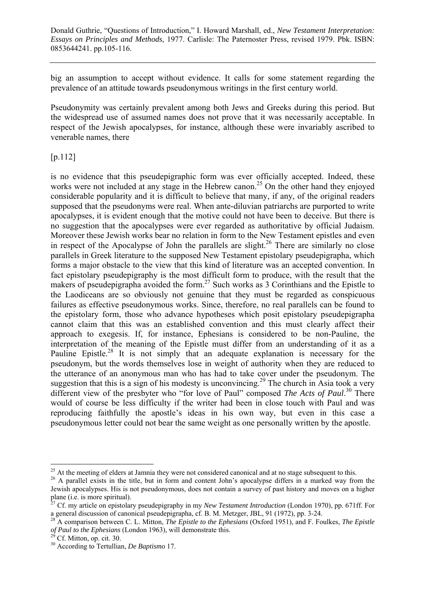big an assumption to accept without evidence. It calls for some statement regarding the prevalence of an attitude towards pseudonymous writings in the first century world.

Pseudonymity was certainly prevalent among both Jews and Greeks during this period. But the widespread use of assumed names does not prove that it was necessarily acceptable. In respect of the Jewish apocalypses, for instance, although these were invariably ascribed to venerable names, there

[p.112]

is no evidence that this pseudepigraphic form was ever officially accepted. Indeed, these works were not included at any stage in the Hebrew canon.<sup>25</sup> On the other hand they enjoyed considerable popularity and it is difficult to believe that many, if any, of the original readers supposed that the pseudonyms were real. When ante-diluvian patriarchs are purported to write apocalypses, it is evident enough that the motive could not have been to deceive. But there is no suggestion that the apocalypses were ever regarded as authoritative by official Judaism. Moreover these Jewish works bear no relation in form to the New Testament epistles and even in respect of the Apocalypse of John the parallels are slight.<sup>26</sup> There are similarly no close parallels in Greek literature to the supposed New Testament epistolary pseudepigrapha, which forms a major obstacle to the view that this kind of literature was an accepted convention. In fact epistolary pseudepigraphy is the most difficult form to produce, with the result that the makers of pseudepigrapha avoided the form.<sup>27</sup> Such works as 3 Corinthians and the Epistle to the Laodiceans are so obviously not genuine that they must be regarded as conspicuous failures as effective pseudonymous works. Since, therefore, no real parallels can be found to the epistolary form, those who advance hypotheses which posit epistolary pseudepigrapha cannot claim that this was an established convention and this must clearly affect their approach to exegesis. If, for instance, Ephesians is considered to be non-Pauline, the interpretation of the meaning of the Epistle must differ from an understanding of it as a Pauline Epistle.<sup>28</sup> It is not simply that an adequate explanation is necessary for the pseudonym, but the words themselves lose in weight of authority when they are reduced to the utterance of an anonymous man who has had to take cover under the pseudonym. The suggestion that this is a sign of his modesty is unconvincing.<sup>29</sup> The church in Asia took a very different view of the presbyter who "for love of Paul" composed *The Acts of Paul*.<sup>30</sup> There would of course be less difficulty if the writer had been in close touch with Paul and was reproducing faithfully the apostle's ideas in his own way, but even in this case a pseudonymous letter could not bear the same weight as one personally written by the apostle.

<sup>&</sup>lt;sup>25</sup> At the meeting of elders at Jamnia they were not considered canonical and at no stage subsequent to this. <sup>26</sup> A parallel exists in the title, but in form and content John's apocalypse differs in a marked way from th Jewish apocalypses. His is not pseudonymous, does not contain a survey of past history and moves on a higher plane (i.e. is more spiritual).

<sup>27</sup> Cf. my article on epistolary pseudepigraphy in my *New Testament Introduction* (London 1970), pp. 671ff. For a general discussion of canonical pseudepigrapha, cf. B. M. Metzger, JBL, 91 (1972), pp. 3-24.

<sup>28</sup> A comparison between C. L. Mitton, *The Epistle to the Ephesians* (Oxford 1951), and F. Foulkes, *The Epistle of Paul to the Ephesians* (London 1963), will demonstrate this.<br><sup>29</sup> Cf. Mitton, op. cit. 30.

<sup>30</sup> According to Tertullian, *De Baptismo* 17.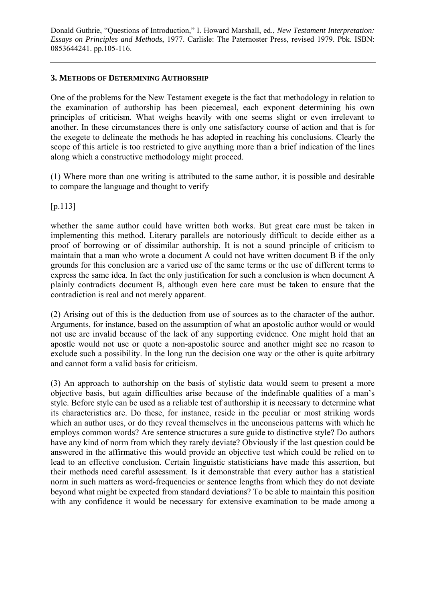#### **3. METHODS OF DETERMINING AUTHORSHIP**

One of the problems for the New Testament exegete is the fact that methodology in relation to the examination of authorship has been piecemeal, each exponent determining his own principles of criticism. What weighs heavily with one seems slight or even irrelevant to another. In these circumstances there is only one satisfactory course of action and that is for the exegete to delineate the methods he has adopted in reaching his conclusions. Clearly the scope of this article is too restricted to give anything more than a brief indication of the lines along which a constructive methodology might proceed.

(1) Where more than one writing is attributed to the same author, it is possible and desirable to compare the language and thought to verify

[p.113]

whether the same author could have written both works. But great care must be taken in implementing this method. Literary parallels are notoriously difficult to decide either as a proof of borrowing or of dissimilar authorship. It is not a sound principle of criticism to maintain that a man who wrote a document A could not have written document B if the only grounds for this conclusion are a varied use of the same terms or the use of different terms to express the same idea. In fact the only justification for such a conclusion is when document A plainly contradicts document B, although even here care must be taken to ensure that the contradiction is real and not merely apparent.

(2) Arising out of this is the deduction from use of sources as to the character of the author. Arguments, for instance, based on the assumption of what an apostolic author would or would not use are invalid because of the lack of any supporting evidence. One might hold that an apostle would not use or quote a non-apostolic source and another might see no reason to exclude such a possibility. In the long run the decision one way or the other is quite arbitrary and cannot form a valid basis for criticism.

(3) An approach to authorship on the basis of stylistic data would seem to present a more objective basis, but again difficulties arise because of the indefinable qualities of a man's style. Before style can be used as a reliable test of authorship it is necessary to determine what its characteristics are. Do these, for instance, reside in the peculiar or most striking words which an author uses, or do they reveal themselves in the unconscious patterns with which he employs common words? Are sentence structures a sure guide to distinctive style? Do authors have any kind of norm from which they rarely deviate? Obviously if the last question could be answered in the affirmative this would provide an objective test which could be relied on to lead to an effective conclusion. Certain linguistic statisticians have made this assertion, but their methods need careful assessment. Is it demonstrable that every author has a statistical norm in such matters as word-frequencies or sentence lengths from which they do not deviate beyond what might be expected from standard deviations? To be able to maintain this position with any confidence it would be necessary for extensive examination to be made among a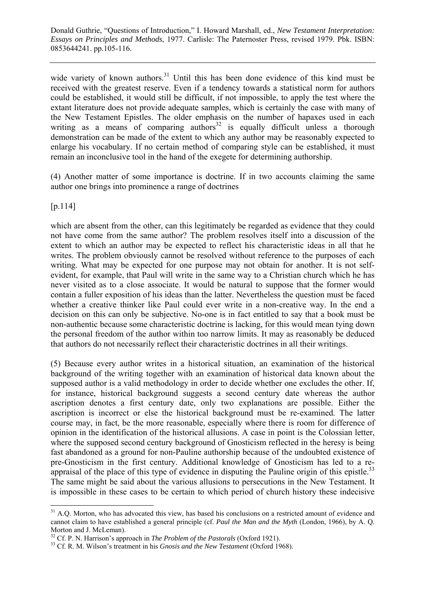wide variety of known authors.<sup>31</sup> Until this has been done evidence of this kind must be received with the greatest reserve. Even if a tendency towards a statistical norm for authors could be established, it would still be difficult, if not impossible, to apply the test where the extant literature does not provide adequate samples, which is certainly the case with many of the New Testament Epistles. The older emphasis on the number of hapaxes used in each writing as a means of comparing authors<sup>32</sup> is equally difficult unless a thorough demonstration can be made of the extent to which any author may be reasonably expected to enlarge his vocabulary. If no certain method of comparing style can be established, it must remain an inconclusive tool in the hand of the exegete for determining authorship.

(4) Another matter of some importance is doctrine. If in two accounts claiming the same author one brings into prominence a range of doctrines

[p.114]

 $\overline{a}$ 

which are absent from the other, can this legitimately be regarded as evidence that they could not have come from the same author? The problem resolves itself into a discussion of the extent to which an author may be expected to reflect his characteristic ideas in all that he writes. The problem obviously cannot be resolved without reference to the purposes of each writing. What may be expected for one purpose may not obtain for another. It is not selfevident, for example, that Paul will write in the same way to a Christian church which he has never visited as to a close associate. It would be natural to suppose that the former would contain a fuller exposition of his ideas than the latter. Nevertheless the question must be faced whether a creative thinker like Paul could ever write in a non-creative way. In the end a decision on this can only be subjective. No-one is in fact entitled to say that a book must be non-authentic because some characteristic doctrine is lacking, for this would mean tying down the personal freedom of the author within too narrow limits. It may as reasonably be deduced that authors do not necessarily reflect their characteristic doctrines in all their writings.

(5) Because every author writes in a historical situation, an examination of the historical background of the writing together with an examination of historical data known about the supposed author is a valid methodology in order to decide whether one excludes the other. If, for instance, historical background suggests a second century date whereas the author ascription denotes a first century date, only two explanations are possible. Either the ascription is incorrect or else the historical background must be re-examined. The latter course may, in fact, be the more reasonable, especially where there is room for difference of opinion in the identification of the historical allusions. A case in point is the Colossian letter, where the supposed second century background of Gnosticism reflected in the heresy is being fast abandoned as a ground for non-Pauline authorship because of the undoubted existence of pre-Gnosticism in the first century. Additional knowledge of Gnosticism has led to a reappraisal of the place of this type of evidence in disputing the Pauline origin of this epistle. $33$ The same might be said about the various allusions to persecutions in the New Testament. It is impossible in these cases to be certain to which period of church history these indecisive

<sup>&</sup>lt;sup>31</sup> A.Q. Morton, who has advocated this view, has based his conclusions on a restricted amount of evidence and cannot claim to have established a general principle (cf. *Paul the Man and the Myth* (London, 1966), by A. Q. Morton and J. McLeman).

<sup>32</sup> Cf. P. N. Harrison's approach in *The Problem of the Pastorals* (Oxford 1921). 33 Cf. R. M. Wilson's treatment in his *Gnosis and the New Testament* (Oxford 1968).